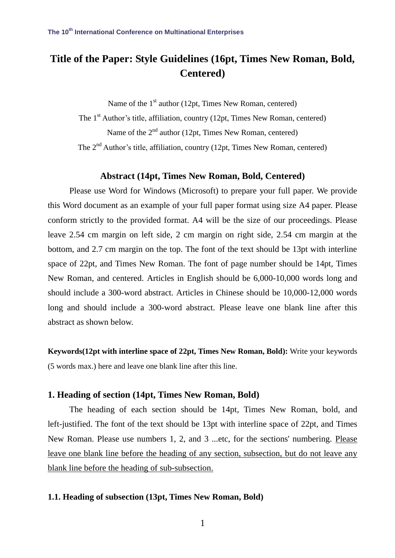# **Title of the Paper: Style Guidelines (16pt, Times New Roman, Bold, Centered)**

Name of the  $1<sup>st</sup>$  author (12pt, Times New Roman, centered)

The 1<sup>st</sup> Author's title, affiliation, country (12pt, Times New Roman, centered) Name of the  $2<sup>nd</sup>$  author (12pt, Times New Roman, centered)

The 2<sup>nd</sup> Author's title, affiliation, country (12pt, Times New Roman, centered)

#### **Abstract (14pt, Times New Roman, Bold, Centered)**

Please use Word for Windows (Microsoft) to prepare your full paper. We provide this Word document as an example of your full paper format using size A4 paper. Please conform strictly to the provided format. A4 will be the size of our proceedings. Please leave 2.54 cm margin on left side, 2 cm margin on right side, 2.54 cm margin at the bottom, and 2.7 cm margin on the top. The font of the text should be 13pt with interline space of 22pt, and Times New Roman. The font of page number should be 14pt, Times New Roman, and centered. Articles in English should be 6,000-10,000 words long and should include a 300-word abstract. Articles in Chinese should be 10,000-12,000 words long and should include a 300-word abstract. Please leave one blank line after this abstract as shown below.

**Keywords(12pt with interline space of 22pt, Times New Roman, Bold):** Write your keywords (5 words max.) here and leave one blank line after this line.

# **1. Heading of section (14pt, Times New Roman, Bold)**

The heading of each section should be 14pt, Times New Roman, bold, and left-justified. The font of the text should be 13pt with interline space of 22pt, and Times New Roman. Please use numbers 1, 2, and 3 ...etc, for the sections' numbering. Please leave one blank line before the heading of any section, subsection, but do not leave any blank line before the heading of sub-subsection.

# **1.1. Heading of subsection (13pt, Times New Roman, Bold)**